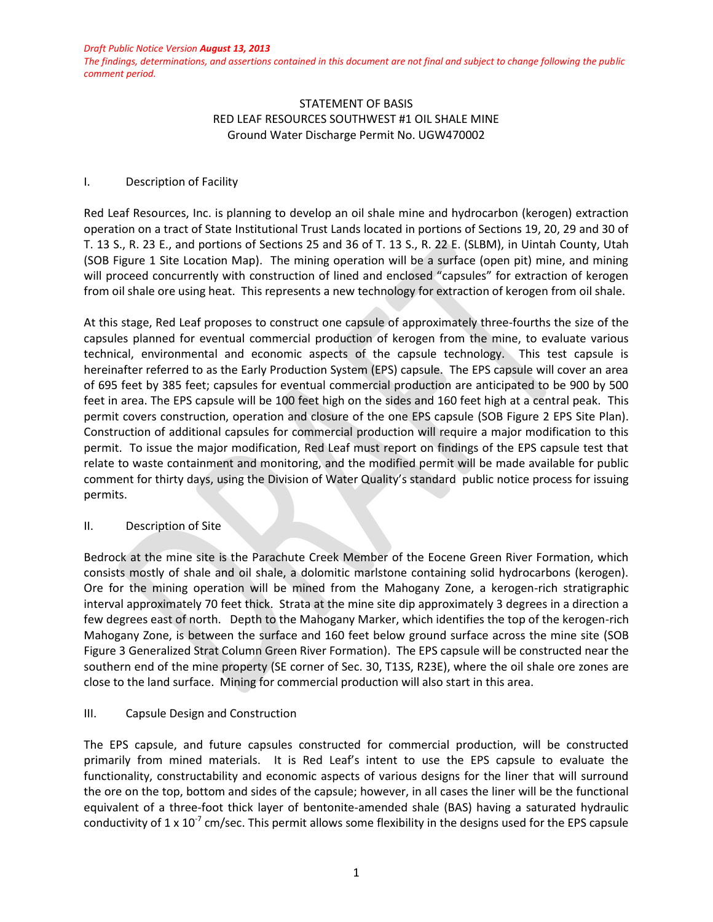*The findings, determinations, and assertions contained in this document are not final and subject to change following the public comment period.*

## STATEMENT OF BASIS RED LEAF RESOURCES SOUTHWEST #1 OIL SHALE MINE Ground Water Discharge Permit No. UGW470002

## I. Description of Facility

Red Leaf Resources, Inc. is planning to develop an oil shale mine and hydrocarbon (kerogen) extraction operation on a tract of State Institutional Trust Lands located in portions of Sections 19, 20, 29 and 30 of T. 13 S., R. 23 E., and portions of Sections 25 and 36 of T. 13 S., R. 22 E. (SLBM), in Uintah County, Utah (SOB Figure 1 Site Location Map). The mining operation will be a surface (open pit) mine, and mining will proceed concurrently with construction of lined and enclosed "capsules" for extraction of kerogen from oil shale ore using heat. This represents a new technology for extraction of kerogen from oil shale.

At this stage, Red Leaf proposes to construct one capsule of approximately three-fourths the size of the capsules planned for eventual commercial production of kerogen from the mine, to evaluate various technical, environmental and economic aspects of the capsule technology. This test capsule is hereinafter referred to as the Early Production System (EPS) capsule. The EPS capsule will cover an area of 695 feet by 385 feet; capsules for eventual commercial production are anticipated to be 900 by 500 feet in area. The EPS capsule will be 100 feet high on the sides and 160 feet high at a central peak. This permit covers construction, operation and closure of the one EPS capsule (SOB Figure 2 EPS Site Plan). Construction of additional capsules for commercial production will require a major modification to this permit. To issue the major modification, Red Leaf must report on findings of the EPS capsule test that relate to waste containment and monitoring, and the modified permit will be made available for public comment for thirty days, using the Division of Water Quality's standard public notice process for issuing permits.

## II. Description of Site

Bedrock at the mine site is the Parachute Creek Member of the Eocene Green River Formation, which consists mostly of shale and oil shale, a dolomitic marlstone containing solid hydrocarbons (kerogen). Ore for the mining operation will be mined from the Mahogany Zone, a kerogen-rich stratigraphic interval approximately 70 feet thick. Strata at the mine site dip approximately 3 degrees in a direction a few degrees east of north. Depth to the Mahogany Marker, which identifies the top of the kerogen-rich Mahogany Zone, is between the surface and 160 feet below ground surface across the mine site (SOB Figure 3 Generalized Strat Column Green River Formation). The EPS capsule will be constructed near the southern end of the mine property (SE corner of Sec. 30, T13S, R23E), where the oil shale ore zones are close to the land surface. Mining for commercial production will also start in this area.

# III. Capsule Design and Construction

The EPS capsule, and future capsules constructed for commercial production, will be constructed primarily from mined materials. It is Red Leaf's intent to use the EPS capsule to evaluate the functionality, constructability and economic aspects of various designs for the liner that will surround the ore on the top, bottom and sides of the capsule; however, in all cases the liner will be the functional equivalent of a three-foot thick layer of bentonite-amended shale (BAS) having a saturated hydraulic conductivity of 1 x 10<sup>-7</sup> cm/sec. This permit allows some flexibility in the designs used for the EPS capsule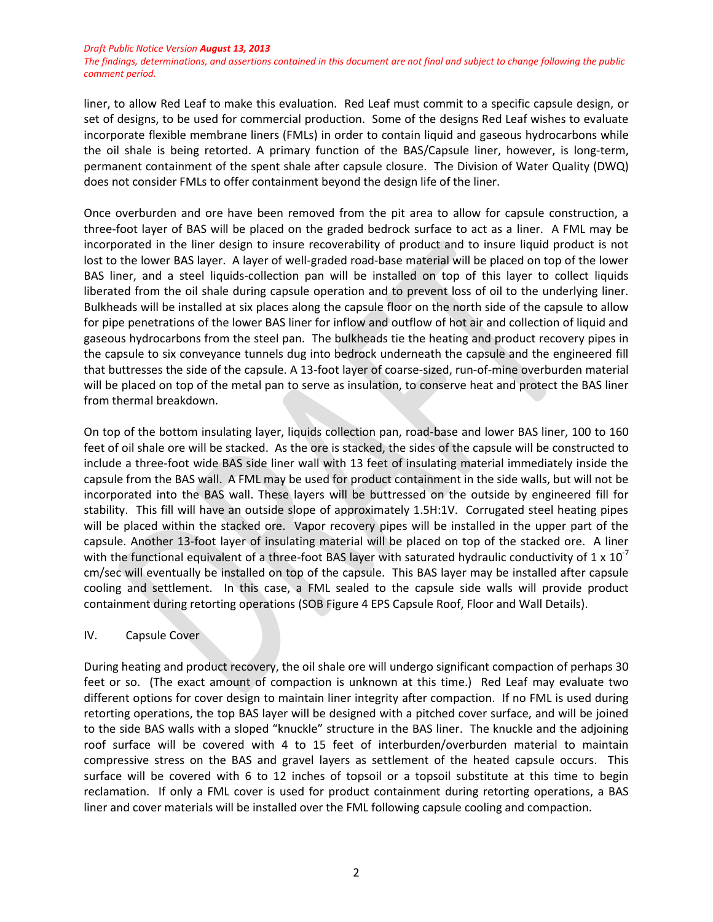*The findings, determinations, and assertions contained in this document are not final and subject to change following the public comment period.*

liner, to allow Red Leaf to make this evaluation. Red Leaf must commit to a specific capsule design, or set of designs, to be used for commercial production. Some of the designs Red Leaf wishes to evaluate incorporate flexible membrane liners (FMLs) in order to contain liquid and gaseous hydrocarbons while the oil shale is being retorted. A primary function of the BAS/Capsule liner, however, is long-term, permanent containment of the spent shale after capsule closure. The Division of Water Quality (DWQ) does not consider FMLs to offer containment beyond the design life of the liner.

Once overburden and ore have been removed from the pit area to allow for capsule construction, a three-foot layer of BAS will be placed on the graded bedrock surface to act as a liner. A FML may be incorporated in the liner design to insure recoverability of product and to insure liquid product is not lost to the lower BAS layer. A layer of well-graded road-base material will be placed on top of the lower BAS liner, and a steel liquids-collection pan will be installed on top of this layer to collect liquids liberated from the oil shale during capsule operation and to prevent loss of oil to the underlying liner. Bulkheads will be installed at six places along the capsule floor on the north side of the capsule to allow for pipe penetrations of the lower BAS liner for inflow and outflow of hot air and collection of liquid and gaseous hydrocarbons from the steel pan. The bulkheads tie the heating and product recovery pipes in the capsule to six conveyance tunnels dug into bedrock underneath the capsule and the engineered fill that buttresses the side of the capsule. A 13-foot layer of coarse-sized, run-of-mine overburden material will be placed on top of the metal pan to serve as insulation, to conserve heat and protect the BAS liner from thermal breakdown.

On top of the bottom insulating layer, liquids collection pan, road-base and lower BAS liner, 100 to 160 feet of oil shale ore will be stacked. As the ore is stacked, the sides of the capsule will be constructed to include a three-foot wide BAS side liner wall with 13 feet of insulating material immediately inside the capsule from the BAS wall. A FML may be used for product containment in the side walls, but will not be incorporated into the BAS wall. These layers will be buttressed on the outside by engineered fill for stability. This fill will have an outside slope of approximately 1.5H:1V. Corrugated steel heating pipes will be placed within the stacked ore. Vapor recovery pipes will be installed in the upper part of the capsule. Another 13-foot layer of insulating material will be placed on top of the stacked ore. A liner with the functional equivalent of a three-foot BAS layer with saturated hydraulic conductivity of 1 x 10<sup>-7</sup> cm/sec will eventually be installed on top of the capsule. This BAS layer may be installed after capsule cooling and settlement. In this case, a FML sealed to the capsule side walls will provide product containment during retorting operations (SOB Figure 4 EPS Capsule Roof, Floor and Wall Details).

## IV. Capsule Cover

During heating and product recovery, the oil shale ore will undergo significant compaction of perhaps 30 feet or so. (The exact amount of compaction is unknown at this time.) Red Leaf may evaluate two different options for cover design to maintain liner integrity after compaction. If no FML is used during retorting operations, the top BAS layer will be designed with a pitched cover surface, and will be joined to the side BAS walls with a sloped "knuckle" structure in the BAS liner. The knuckle and the adjoining roof surface will be covered with 4 to 15 feet of interburden/overburden material to maintain compressive stress on the BAS and gravel layers as settlement of the heated capsule occurs. This surface will be covered with 6 to 12 inches of topsoil or a topsoil substitute at this time to begin reclamation. If only a FML cover is used for product containment during retorting operations, a BAS liner and cover materials will be installed over the FML following capsule cooling and compaction.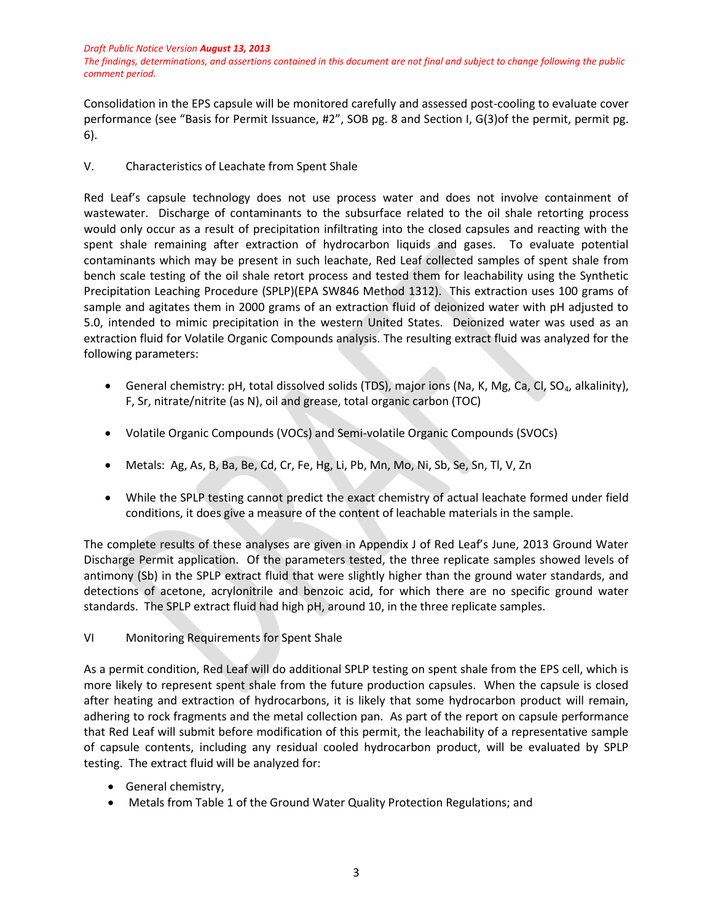*The findings, determinations, and assertions contained in this document are not final and subject to change following the public comment period.*

Consolidation in the EPS capsule will be monitored carefully and assessed post-cooling to evaluate cover performance (see "Basis for Permit Issuance, #2", SOB pg. 8 and Section I, G(3)of the permit, permit pg. 6).

V. Characteristics of Leachate from Spent Shale

Red Leaf's capsule technology does not use process water and does not involve containment of wastewater. Discharge of contaminants to the subsurface related to the oil shale retorting process would only occur as a result of precipitation infiltrating into the closed capsules and reacting with the spent shale remaining after extraction of hydrocarbon liquids and gases. To evaluate potential contaminants which may be present in such leachate, Red Leaf collected samples of spent shale from bench scale testing of the oil shale retort process and tested them for leachability using the Synthetic Precipitation Leaching Procedure (SPLP)(EPA SW846 Method 1312). This extraction uses 100 grams of sample and agitates them in 2000 grams of an extraction fluid of deionized water with pH adjusted to 5.0, intended to mimic precipitation in the western United States. Deionized water was used as an extraction fluid for Volatile Organic Compounds analysis. The resulting extract fluid was analyzed for the following parameters:

- General chemistry: pH, total dissolved solids (TDS), major ions (Na, K, Mg, Ca, Cl, SO<sub>4</sub>, alkalinity), F, Sr, nitrate/nitrite (as N), oil and grease, total organic carbon (TOC)
- Volatile Organic Compounds (VOCs) and Semi-volatile Organic Compounds (SVOCs)
- Metals: Ag, As, B, Ba, Be, Cd, Cr, Fe, Hg, Li, Pb, Mn, Mo, Ni, Sb, Se, Sn, Tl, V, Zn
- While the SPLP testing cannot predict the exact chemistry of actual leachate formed under field conditions, it does give a measure of the content of leachable materials in the sample.

The complete results of these analyses are given in Appendix J of Red Leaf's June, 2013 Ground Water Discharge Permit application. Of the parameters tested, the three replicate samples showed levels of antimony (Sb) in the SPLP extract fluid that were slightly higher than the ground water standards, and detections of acetone, acrylonitrile and benzoic acid, for which there are no specific ground water standards. The SPLP extract fluid had high pH, around 10, in the three replicate samples.

VI Monitoring Requirements for Spent Shale

As a permit condition, Red Leaf will do additional SPLP testing on spent shale from the EPS cell, which is more likely to represent spent shale from the future production capsules. When the capsule is closed after heating and extraction of hydrocarbons, it is likely that some hydrocarbon product will remain, adhering to rock fragments and the metal collection pan. As part of the report on capsule performance that Red Leaf will submit before modification of this permit, the leachability of a representative sample of capsule contents, including any residual cooled hydrocarbon product, will be evaluated by SPLP testing. The extract fluid will be analyzed for:

- General chemistry,
- Metals from Table 1 of the Ground Water Quality Protection Regulations; and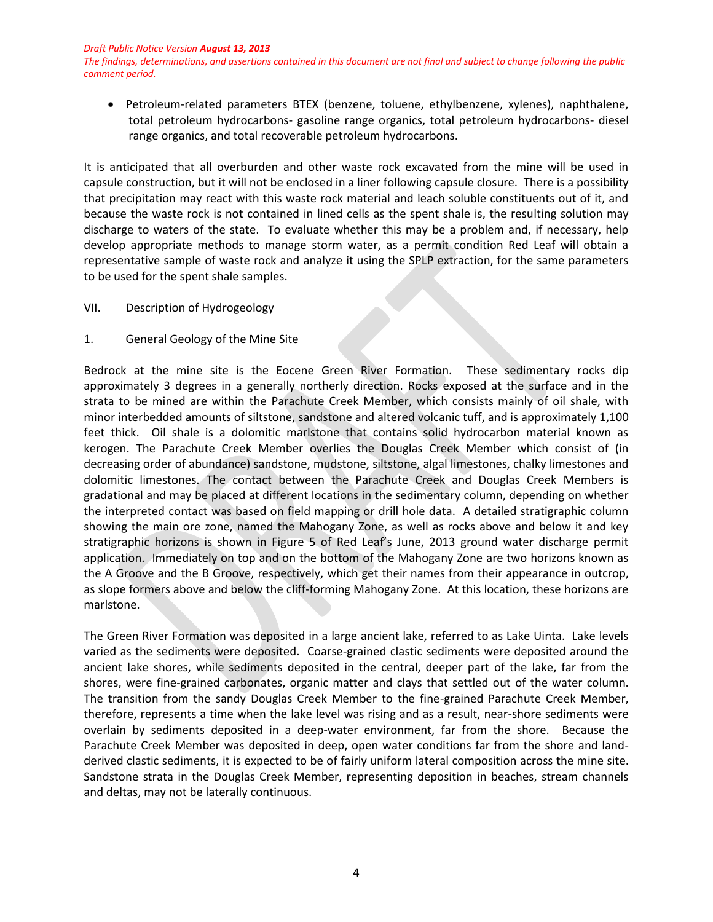*The findings, determinations, and assertions contained in this document are not final and subject to change following the public comment period.*

 Petroleum-related parameters BTEX (benzene, toluene, ethylbenzene, xylenes), naphthalene, total petroleum hydrocarbons- gasoline range organics, total petroleum hydrocarbons- diesel range organics, and total recoverable petroleum hydrocarbons.

It is anticipated that all overburden and other waste rock excavated from the mine will be used in capsule construction, but it will not be enclosed in a liner following capsule closure. There is a possibility that precipitation may react with this waste rock material and leach soluble constituents out of it, and because the waste rock is not contained in lined cells as the spent shale is, the resulting solution may discharge to waters of the state. To evaluate whether this may be a problem and, if necessary, help develop appropriate methods to manage storm water, as a permit condition Red Leaf will obtain a representative sample of waste rock and analyze it using the SPLP extraction, for the same parameters to be used for the spent shale samples.

VII. Description of Hydrogeology

## 1. General Geology of the Mine Site

Bedrock at the mine site is the Eocene Green River Formation. These sedimentary rocks dip approximately 3 degrees in a generally northerly direction. Rocks exposed at the surface and in the strata to be mined are within the Parachute Creek Member, which consists mainly of oil shale, with minor interbedded amounts of siltstone, sandstone and altered volcanic tuff, and is approximately 1,100 feet thick. Oil shale is a dolomitic marlstone that contains solid hydrocarbon material known as kerogen. The Parachute Creek Member overlies the Douglas Creek Member which consist of (in decreasing order of abundance) sandstone, mudstone, siltstone, algal limestones, chalky limestones and dolomitic limestones. The contact between the Parachute Creek and Douglas Creek Members is gradational and may be placed at different locations in the sedimentary column, depending on whether the interpreted contact was based on field mapping or drill hole data. A detailed stratigraphic column showing the main ore zone, named the Mahogany Zone, as well as rocks above and below it and key stratigraphic horizons is shown in Figure 5 of Red Leaf's June, 2013 ground water discharge permit application. Immediately on top and on the bottom of the Mahogany Zone are two horizons known as the A Groove and the B Groove, respectively, which get their names from their appearance in outcrop, as slope formers above and below the cliff-forming Mahogany Zone. At this location, these horizons are marlstone.

The Green River Formation was deposited in a large ancient lake, referred to as Lake Uinta. Lake levels varied as the sediments were deposited. Coarse-grained clastic sediments were deposited around the ancient lake shores, while sediments deposited in the central, deeper part of the lake, far from the shores, were fine-grained carbonates, organic matter and clays that settled out of the water column. The transition from the sandy Douglas Creek Member to the fine-grained Parachute Creek Member, therefore, represents a time when the lake level was rising and as a result, near-shore sediments were overlain by sediments deposited in a deep-water environment, far from the shore. Because the Parachute Creek Member was deposited in deep, open water conditions far from the shore and landderived clastic sediments, it is expected to be of fairly uniform lateral composition across the mine site. Sandstone strata in the Douglas Creek Member, representing deposition in beaches, stream channels and deltas, may not be laterally continuous.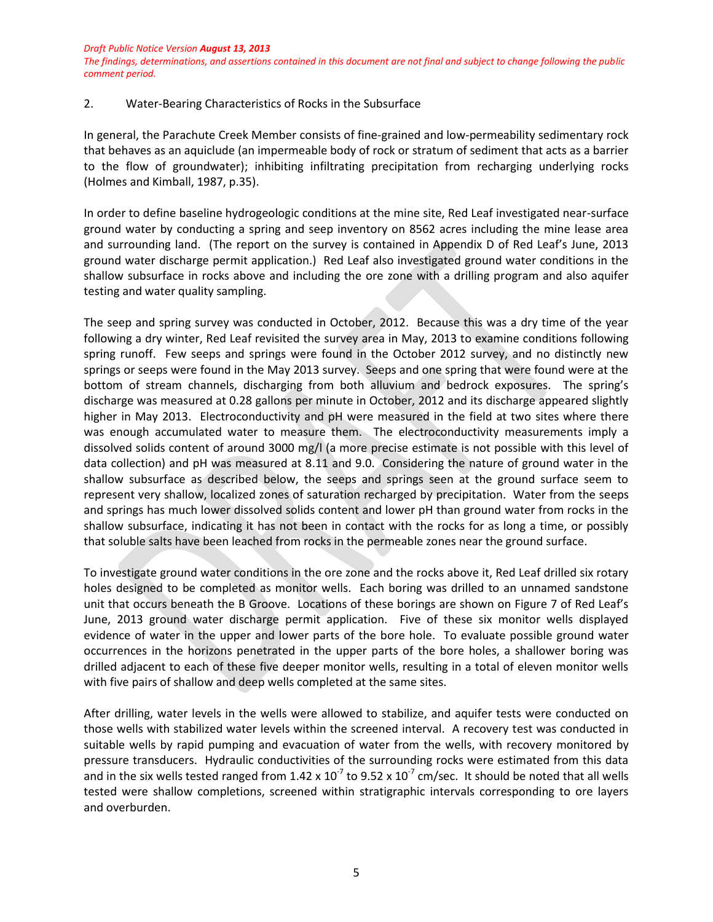*The findings, determinations, and assertions contained in this document are not final and subject to change following the public comment period.*

# 2. Water-Bearing Characteristics of Rocks in the Subsurface

In general, the Parachute Creek Member consists of fine-grained and low-permeability sedimentary rock that behaves as an aquiclude (an impermeable body of rock or stratum of sediment that acts as a barrier to the flow of groundwater); inhibiting infiltrating precipitation from recharging underlying rocks (Holmes and Kimball, 1987, p.35).

In order to define baseline hydrogeologic conditions at the mine site, Red Leaf investigated near-surface ground water by conducting a spring and seep inventory on 8562 acres including the mine lease area and surrounding land. (The report on the survey is contained in Appendix D of Red Leaf's June, 2013 ground water discharge permit application.) Red Leaf also investigated ground water conditions in the shallow subsurface in rocks above and including the ore zone with a drilling program and also aquifer testing and water quality sampling.

The seep and spring survey was conducted in October, 2012. Because this was a dry time of the year following a dry winter, Red Leaf revisited the survey area in May, 2013 to examine conditions following spring runoff. Few seeps and springs were found in the October 2012 survey, and no distinctly new springs or seeps were found in the May 2013 survey. Seeps and one spring that were found were at the bottom of stream channels, discharging from both alluvium and bedrock exposures. The spring's discharge was measured at 0.28 gallons per minute in October, 2012 and its discharge appeared slightly higher in May 2013. Electroconductivity and pH were measured in the field at two sites where there was enough accumulated water to measure them. The electroconductivity measurements imply a dissolved solids content of around 3000 mg/l (a more precise estimate is not possible with this level of data collection) and pH was measured at 8.11 and 9.0. Considering the nature of ground water in the shallow subsurface as described below, the seeps and springs seen at the ground surface seem to represent very shallow, localized zones of saturation recharged by precipitation. Water from the seeps and springs has much lower dissolved solids content and lower pH than ground water from rocks in the shallow subsurface, indicating it has not been in contact with the rocks for as long a time, or possibly that soluble salts have been leached from rocks in the permeable zones near the ground surface.

To investigate ground water conditions in the ore zone and the rocks above it, Red Leaf drilled six rotary holes designed to be completed as monitor wells. Each boring was drilled to an unnamed sandstone unit that occurs beneath the B Groove. Locations of these borings are shown on Figure 7 of Red Leaf's June, 2013 ground water discharge permit application. Five of these six monitor wells displayed evidence of water in the upper and lower parts of the bore hole. To evaluate possible ground water occurrences in the horizons penetrated in the upper parts of the bore holes, a shallower boring was drilled adjacent to each of these five deeper monitor wells, resulting in a total of eleven monitor wells with five pairs of shallow and deep wells completed at the same sites.

After drilling, water levels in the wells were allowed to stabilize, and aquifer tests were conducted on those wells with stabilized water levels within the screened interval. A recovery test was conducted in suitable wells by rapid pumping and evacuation of water from the wells, with recovery monitored by pressure transducers. Hydraulic conductivities of the surrounding rocks were estimated from this data and in the six wells tested ranged from 1.42 x 10<sup>-7</sup> to 9.52 x 10<sup>-7</sup> cm/sec. It should be noted that all wells tested were shallow completions, screened within stratigraphic intervals corresponding to ore layers and overburden.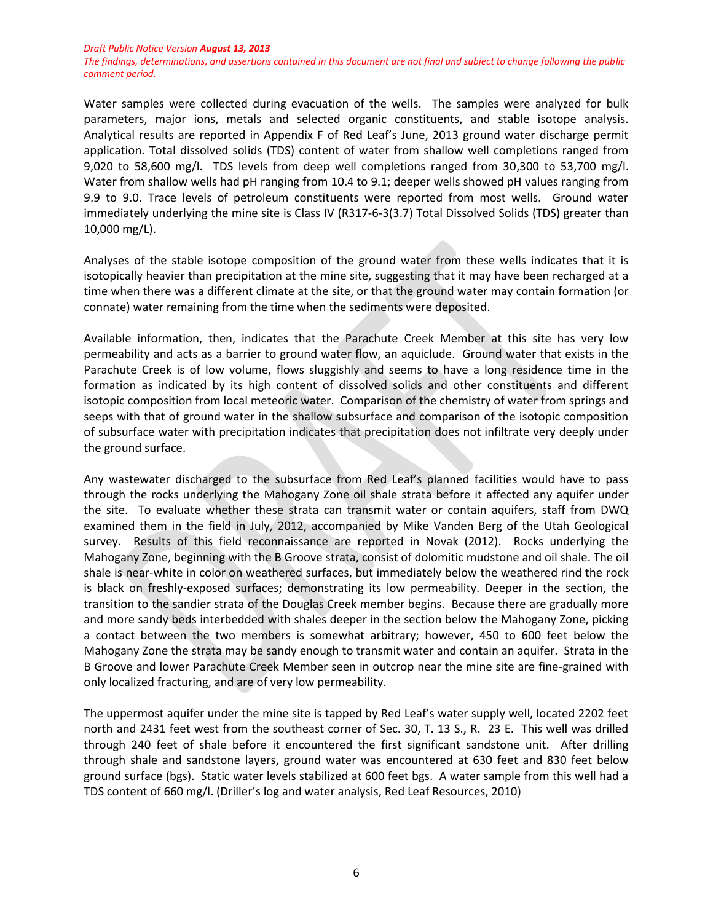*The findings, determinations, and assertions contained in this document are not final and subject to change following the public comment period.*

Water samples were collected during evacuation of the wells. The samples were analyzed for bulk parameters, major ions, metals and selected organic constituents, and stable isotope analysis. Analytical results are reported in Appendix F of Red Leaf's June, 2013 ground water discharge permit application. Total dissolved solids (TDS) content of water from shallow well completions ranged from 9,020 to 58,600 mg/l. TDS levels from deep well completions ranged from 30,300 to 53,700 mg/l. Water from shallow wells had pH ranging from 10.4 to 9.1; deeper wells showed pH values ranging from 9.9 to 9.0. Trace levels of petroleum constituents were reported from most wells. Ground water immediately underlying the mine site is Class IV (R317-6-3(3.7) Total Dissolved Solids (TDS) greater than 10,000 mg/L).

Analyses of the stable isotope composition of the ground water from these wells indicates that it is isotopically heavier than precipitation at the mine site, suggesting that it may have been recharged at a time when there was a different climate at the site, or that the ground water may contain formation (or connate) water remaining from the time when the sediments were deposited.

Available information, then, indicates that the Parachute Creek Member at this site has very low permeability and acts as a barrier to ground water flow, an aquiclude. Ground water that exists in the Parachute Creek is of low volume, flows sluggishly and seems to have a long residence time in the formation as indicated by its high content of dissolved solids and other constituents and different isotopic composition from local meteoric water. Comparison of the chemistry of water from springs and seeps with that of ground water in the shallow subsurface and comparison of the isotopic composition of subsurface water with precipitation indicates that precipitation does not infiltrate very deeply under the ground surface.

Any wastewater discharged to the subsurface from Red Leaf's planned facilities would have to pass through the rocks underlying the Mahogany Zone oil shale strata before it affected any aquifer under the site. To evaluate whether these strata can transmit water or contain aquifers, staff from DWQ examined them in the field in July, 2012, accompanied by Mike Vanden Berg of the Utah Geological survey. Results of this field reconnaissance are reported in Novak (2012). Rocks underlying the Mahogany Zone, beginning with the B Groove strata, consist of dolomitic mudstone and oil shale. The oil shale is near-white in color on weathered surfaces, but immediately below the weathered rind the rock is black on freshly-exposed surfaces; demonstrating its low permeability. Deeper in the section, the transition to the sandier strata of the Douglas Creek member begins. Because there are gradually more and more sandy beds interbedded with shales deeper in the section below the Mahogany Zone, picking a contact between the two members is somewhat arbitrary; however, 450 to 600 feet below the Mahogany Zone the strata may be sandy enough to transmit water and contain an aquifer. Strata in the B Groove and lower Parachute Creek Member seen in outcrop near the mine site are fine-grained with only localized fracturing, and are of very low permeability.

The uppermost aquifer under the mine site is tapped by Red Leaf's water supply well, located 2202 feet north and 2431 feet west from the southeast corner of Sec. 30, T. 13 S., R. 23 E. This well was drilled through 240 feet of shale before it encountered the first significant sandstone unit. After drilling through shale and sandstone layers, ground water was encountered at 630 feet and 830 feet below ground surface (bgs). Static water levels stabilized at 600 feet bgs. A water sample from this well had a TDS content of 660 mg/l. (Driller's log and water analysis, Red Leaf Resources, 2010)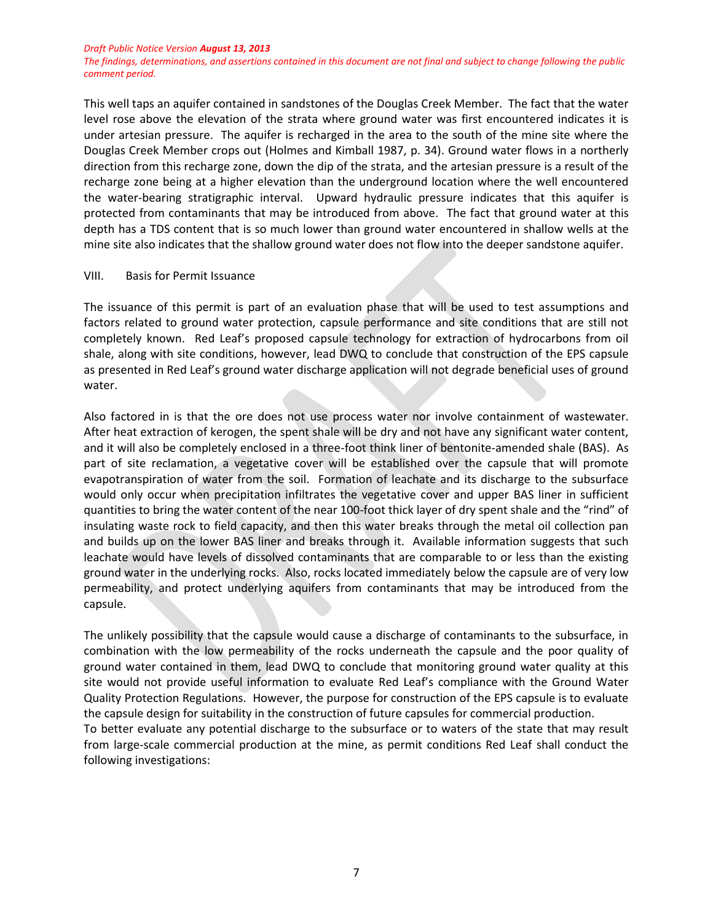*The findings, determinations, and assertions contained in this document are not final and subject to change following the public comment period.*

This well taps an aquifer contained in sandstones of the Douglas Creek Member. The fact that the water level rose above the elevation of the strata where ground water was first encountered indicates it is under artesian pressure. The aquifer is recharged in the area to the south of the mine site where the Douglas Creek Member crops out (Holmes and Kimball 1987, p. 34). Ground water flows in a northerly direction from this recharge zone, down the dip of the strata, and the artesian pressure is a result of the recharge zone being at a higher elevation than the underground location where the well encountered the water-bearing stratigraphic interval. Upward hydraulic pressure indicates that this aquifer is protected from contaminants that may be introduced from above. The fact that ground water at this depth has a TDS content that is so much lower than ground water encountered in shallow wells at the mine site also indicates that the shallow ground water does not flow into the deeper sandstone aquifer.

#### VIII. Basis for Permit Issuance

The issuance of this permit is part of an evaluation phase that will be used to test assumptions and factors related to ground water protection, capsule performance and site conditions that are still not completely known. Red Leaf's proposed capsule technology for extraction of hydrocarbons from oil shale, along with site conditions, however, lead DWQ to conclude that construction of the EPS capsule as presented in Red Leaf's ground water discharge application will not degrade beneficial uses of ground water.

Also factored in is that the ore does not use process water nor involve containment of wastewater. After heat extraction of kerogen, the spent shale will be dry and not have any significant water content, and it will also be completely enclosed in a three-foot think liner of bentonite-amended shale (BAS). As part of site reclamation, a vegetative cover will be established over the capsule that will promote evapotranspiration of water from the soil. Formation of leachate and its discharge to the subsurface would only occur when precipitation infiltrates the vegetative cover and upper BAS liner in sufficient quantities to bring the water content of the near 100-foot thick layer of dry spent shale and the "rind" of insulating waste rock to field capacity, and then this water breaks through the metal oil collection pan and builds up on the lower BAS liner and breaks through it. Available information suggests that such leachate would have levels of dissolved contaminants that are comparable to or less than the existing ground water in the underlying rocks. Also, rocks located immediately below the capsule are of very low permeability, and protect underlying aquifers from contaminants that may be introduced from the capsule.

The unlikely possibility that the capsule would cause a discharge of contaminants to the subsurface, in combination with the low permeability of the rocks underneath the capsule and the poor quality of ground water contained in them, lead DWQ to conclude that monitoring ground water quality at this site would not provide useful information to evaluate Red Leaf's compliance with the Ground Water Quality Protection Regulations. However, the purpose for construction of the EPS capsule is to evaluate the capsule design for suitability in the construction of future capsules for commercial production.

To better evaluate any potential discharge to the subsurface or to waters of the state that may result from large-scale commercial production at the mine, as permit conditions Red Leaf shall conduct the following investigations: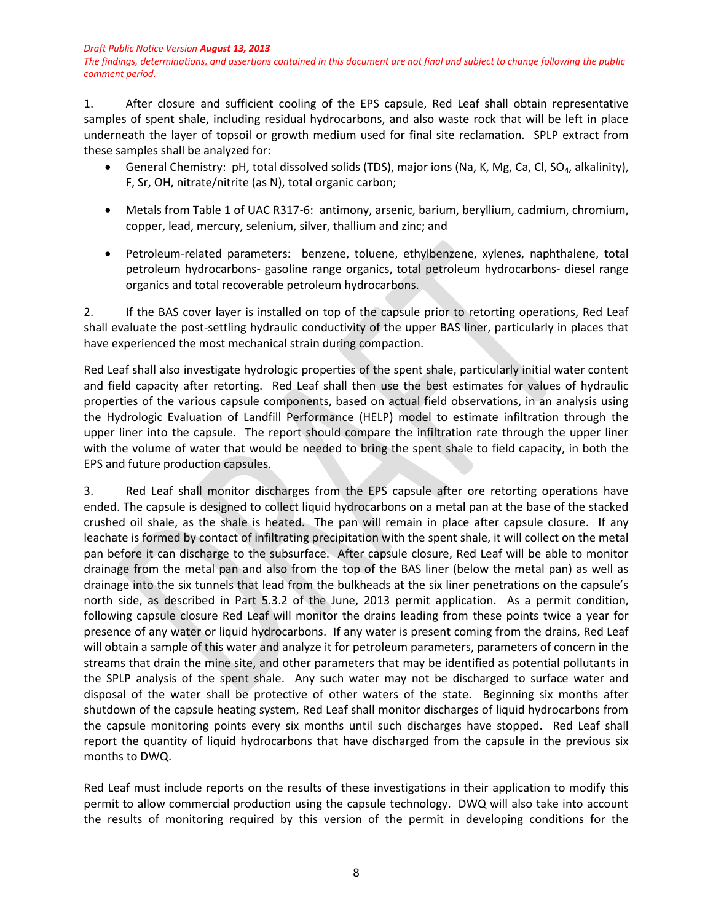*The findings, determinations, and assertions contained in this document are not final and subject to change following the public comment period.*

1. After closure and sufficient cooling of the EPS capsule, Red Leaf shall obtain representative samples of spent shale, including residual hydrocarbons, and also waste rock that will be left in place underneath the layer of topsoil or growth medium used for final site reclamation. SPLP extract from these samples shall be analyzed for:

- General Chemistry: pH, total dissolved solids (TDS), major ions (Na, K, Mg, Ca, Cl, SO<sub>4</sub>, alkalinity), F, Sr, OH, nitrate/nitrite (as N), total organic carbon;
- Metals from Table 1 of UAC R317-6: antimony, arsenic, barium, beryllium, cadmium, chromium, copper, lead, mercury, selenium, silver, thallium and zinc; and
- Petroleum-related parameters: benzene, toluene, ethylbenzene, xylenes, naphthalene, total petroleum hydrocarbons- gasoline range organics, total petroleum hydrocarbons- diesel range organics and total recoverable petroleum hydrocarbons.

2. If the BAS cover layer is installed on top of the capsule prior to retorting operations, Red Leaf shall evaluate the post-settling hydraulic conductivity of the upper BAS liner, particularly in places that have experienced the most mechanical strain during compaction.

Red Leaf shall also investigate hydrologic properties of the spent shale, particularly initial water content and field capacity after retorting. Red Leaf shall then use the best estimates for values of hydraulic properties of the various capsule components, based on actual field observations, in an analysis using the Hydrologic Evaluation of Landfill Performance (HELP) model to estimate infiltration through the upper liner into the capsule. The report should compare the infiltration rate through the upper liner with the volume of water that would be needed to bring the spent shale to field capacity, in both the EPS and future production capsules.

3. Red Leaf shall monitor discharges from the EPS capsule after ore retorting operations have ended. The capsule is designed to collect liquid hydrocarbons on a metal pan at the base of the stacked crushed oil shale, as the shale is heated. The pan will remain in place after capsule closure. If any leachate is formed by contact of infiltrating precipitation with the spent shale, it will collect on the metal pan before it can discharge to the subsurface. After capsule closure, Red Leaf will be able to monitor drainage from the metal pan and also from the top of the BAS liner (below the metal pan) as well as drainage into the six tunnels that lead from the bulkheads at the six liner penetrations on the capsule's north side, as described in Part 5.3.2 of the June, 2013 permit application. As a permit condition, following capsule closure Red Leaf will monitor the drains leading from these points twice a year for presence of any water or liquid hydrocarbons. If any water is present coming from the drains, Red Leaf will obtain a sample of this water and analyze it for petroleum parameters, parameters of concern in the streams that drain the mine site, and other parameters that may be identified as potential pollutants in the SPLP analysis of the spent shale. Any such water may not be discharged to surface water and disposal of the water shall be protective of other waters of the state. Beginning six months after shutdown of the capsule heating system, Red Leaf shall monitor discharges of liquid hydrocarbons from the capsule monitoring points every six months until such discharges have stopped. Red Leaf shall report the quantity of liquid hydrocarbons that have discharged from the capsule in the previous six months to DWQ.

Red Leaf must include reports on the results of these investigations in their application to modify this permit to allow commercial production using the capsule technology. DWQ will also take into account the results of monitoring required by this version of the permit in developing conditions for the